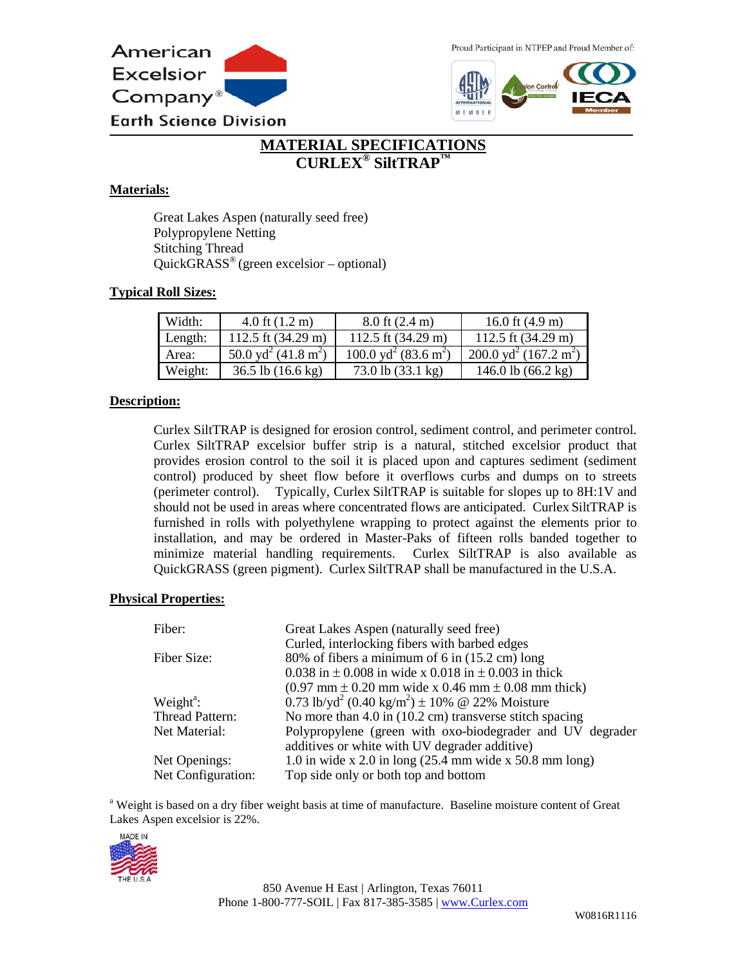

Proud Participant in NTPEP and Proud Member of:



# **MATERIAL SPECIFICATIONS CURLEX® SiltTRAP™**

#### **Materials:**

Great Lakes Aspen (naturally seed free) Polypropylene Netting Stitching Thread  $QuickGRASS^{\circ}$  (green excelsior – optional)

#### **Typical Roll Sizes:**

| Width:  | 4.0 ft $(1.2 \text{ m})$                    | $8.0$ ft $(2.4 \text{ m})$                   | 16.0 ft $(4.9 \text{ m})$                              |
|---------|---------------------------------------------|----------------------------------------------|--------------------------------------------------------|
| Length: | 112.5 ft $(34.29 \text{ m})$                | 112.5 ft $(34.29 \text{ m})$                 | 112.5 ft $(34.29 \text{ m})$                           |
| Area:   | 50.0 yd <sup>2</sup> (41.8 m <sup>2</sup> ) | 100.0 yd <sup>2</sup> (83.6 m <sup>2</sup> ) | $\sqrt{200.0}$ yd <sup>2</sup> (167.2 m <sup>2</sup> ) |
| Weight: | $36.5$ lb $(16.6 \text{ kg})$               | 73.0 lb (33.1 kg)                            | 146.0 lb $(66.2 \text{ kg})$                           |

#### **Description:**

Curlex SiltTRAP is designed for erosion control, sediment control, and perimeter control. Curlex SiltTRAP excelsior buffer strip is a natural, stitched excelsior product that provides erosion control to the soil it is placed upon and captures sediment (sediment control) produced by sheet flow before it overflows curbs and dumps on to streets (perimeter control). Typically, Curlex SiltTRAP is suitable for slopes up to 8H:1V and should not be used in areas where concentrated flows are anticipated. Curlex SiltTRAP is furnished in rolls with polyethylene wrapping to protect against the elements prior to installation, and may be ordered in Master-Paks of fifteen rolls banded together to minimize material handling requirements. Curlex SiltTRAP is also available as QuickGRASS (green pigment). Curlex SiltTRAP shall be manufactured in the U.S.A.

#### **Physical Properties:**

| Fiber:                | Great Lakes Aspen (naturally seed free)                                                                   |
|-----------------------|-----------------------------------------------------------------------------------------------------------|
|                       | Curled, interlocking fibers with barbed edges                                                             |
| Fiber Size:           | 80% of fibers a minimum of 6 in (15.2 cm) long                                                            |
|                       | 0.038 in $\pm$ 0.008 in wide x 0.018 in $\pm$ 0.003 in thick                                              |
|                       | $(0.97 \text{ mm} \pm 0.20 \text{ mm} \text{ wide x } 0.46 \text{ mm} \pm 0.08 \text{ mm} \text{ thick})$ |
| Weight <sup>a</sup> : | 0.73 lb/yd <sup>2</sup> (0.40 kg/m <sup>2</sup> ) $\pm$ 10% @ 22% Moisture                                |
| Thread Pattern:       | No more than 4.0 in (10.2 cm) transverse stitch spacing                                                   |
| Net Material:         | Polypropylene (green with oxo-biodegrader and UV degrader                                                 |
|                       | additives or white with UV degrader additive)                                                             |
| Net Openings:         | 1.0 in wide x 2.0 in long $(25.4 \text{ mm} \text{ wide x } 50.8 \text{ mm} \text{ long})$                |
| Net Configuration:    | Top side only or both top and bottom                                                                      |

<sup>a</sup> Weight is based on a dry fiber weight basis at time of manufacture. Baseline moisture content of Great Lakes Aspen excelsior is 22%.